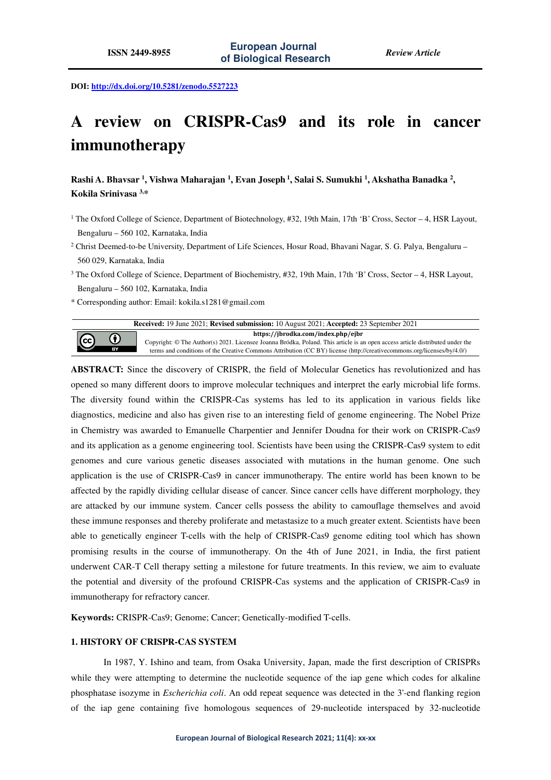**DOI: http://dx.doi.org/10.5281/zenodo.5527223** 

# **A review on CRISPR-Cas9 and its role in cancer immunotherapy**

**Rashi A. Bhavsar <sup>1</sup> , Vishwa Maharajan <sup>1</sup> , Evan Joseph<sup>1</sup>, Salai S. Sumukhi <sup>1</sup> , Akshatha Banadka <sup>2</sup> , Kokila Srinivasa 3,\*** 

- <sup>1</sup> The Oxford College of Science, Department of Biotechnology, #32, 19th Main, 17th 'B' Cross, Sector 4, HSR Layout, Bengaluru – 560 102, Karnataka, India
- 2 Christ Deemed-to-be University, Department of Life Sciences, Hosur Road, Bhavani Nagar, S. G. Palya, Bengaluru 560 029, Karnataka, India
- <sup>3</sup> The Oxford College of Science, Department of Biochemistry, #32, 19th Main, 17th 'B' Cross, Sector 4, HSR Layout, Bengaluru – 560 102, Karnataka, India
- \* Corresponding author: Email: kokila.s1281@gmail.com



**ABSTRACT:** Since the discovery of CRISPR, the field of Molecular Genetics has revolutionized and has opened so many different doors to improve molecular techniques and interpret the early microbial life forms. The diversity found within the CRISPR-Cas systems has led to its application in various fields like diagnostics, medicine and also has given rise to an interesting field of genome engineering. The Nobel Prize in Chemistry was awarded to Emanuelle Charpentier and Jennifer Doudna for their work on CRISPR-Cas9 and its application as a genome engineering tool. Scientists have been using the CRISPR-Cas9 system to edit genomes and cure various genetic diseases associated with mutations in the human genome. One such application is the use of CRISPR-Cas9 in cancer immunotherapy. The entire world has been known to be affected by the rapidly dividing cellular disease of cancer. Since cancer cells have different morphology, they are attacked by our immune system. Cancer cells possess the ability to camouflage themselves and avoid these immune responses and thereby proliferate and metastasize to a much greater extent. Scientists have been able to genetically engineer T-cells with the help of CRISPR-Cas9 genome editing tool which has shown promising results in the course of immunotherapy. On the 4th of June 2021, in India, the first patient underwent CAR-T Cell therapy setting a milestone for future treatments. In this review, we aim to evaluate the potential and diversity of the profound CRISPR-Cas systems and the application of CRISPR-Cas9 in immunotherapy for refractory cancer.

**Keywords:** CRISPR-Cas9; Genome; Cancer; Genetically-modified T-cells.

## **1. HISTORY OF CRISPR-CAS SYSTEM**

In 1987, Y. Ishino and team, from Osaka University, Japan, made the first description of CRISPRs while they were attempting to determine the nucleotide sequence of the iap gene which codes for alkaline phosphatase isozyme in *Escherichia coli*. An odd repeat sequence was detected in the 3'-end flanking region of the iap gene containing five homologous sequences of 29-nucleotide interspaced by 32-nucleotide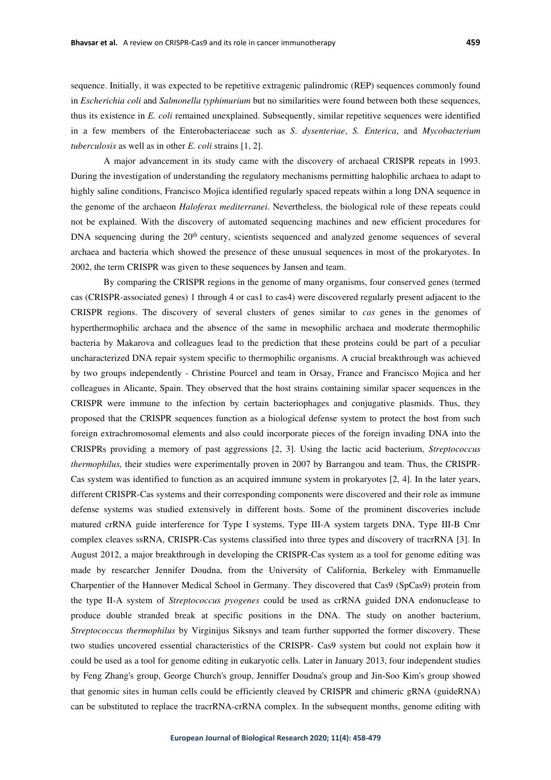sequence. Initially, it was expected to be repetitive extragenic palindromic (REP) sequences commonly found in *Escherichia coli* and *Salmonella typhimurium* but no similarities were found between both these sequences, thus its existence in *E. coli* remained unexplained. Subsequently, similar repetitive sequences were identified in a few members of the Enterobacteriaceae such as *S*. *dysenteriae*, *S. Enterica*, and *Mycobacterium tuberculosis* as well as in other *E. coli* strains [1, 2].

A major advancement in its study came with the discovery of archaeal CRISPR repeats in 1993. During the investigation of understanding the regulatory mechanisms permitting halophilic archaea to adapt to highly saline conditions, Francisco Mojica identified regularly spaced repeats within a long DNA sequence in the genome of the archaeon *Haloferax mediterranei*. Nevertheless, the biological role of these repeats could not be explained. With the discovery of automated sequencing machines and new efficient procedures for DNA sequencing during the  $20<sup>th</sup>$  century, scientists sequenced and analyzed genome sequences of several archaea and bacteria which showed the presence of these unusual sequences in most of the prokaryotes. In 2002, the term CRISPR was given to these sequences by Jansen and team.

By comparing the CRISPR regions in the genome of many organisms, four conserved genes (termed cas (CRISPR-associated genes) 1 through 4 or cas1 to cas4) were discovered regularly present adjacent to the CRISPR regions. The discovery of several clusters of genes similar to *cas* genes in the genomes of hyperthermophilic archaea and the absence of the same in mesophilic archaea and moderate thermophilic bacteria by Makarova and colleagues lead to the prediction that these proteins could be part of a peculiar uncharacterized DNA repair system specific to thermophilic organisms. A crucial breakthrough was achieved by two groups independently - Christine Pourcel and team in Orsay, France and Francisco Mojica and her colleagues in Alicante, Spain. They observed that the host strains containing similar spacer sequences in the CRISPR were immune to the infection by certain bacteriophages and conjugative plasmids. Thus, they proposed that the CRISPR sequences function as a biological defense system to protect the host from such foreign extrachromosomal elements and also could incorporate pieces of the foreign invading DNA into the CRISPRs providing a memory of past aggressions [2, 3]. Using the lactic acid bacterium, *Streptococcus thermophilus,* their studies were experimentally proven in 2007 by Barrangou and team. Thus, the CRISPR-Cas system was identified to function as an acquired immune system in prokaryotes [2, 4]. In the later years, different CRISPR-Cas systems and their corresponding components were discovered and their role as immune defense systems was studied extensively in different hosts. Some of the prominent discoveries include matured crRNA guide interference for Type I systems, Type III-A system targets DNA, Type III-B Cmr complex cleaves ssRNA, CRISPR-Cas systems classified into three types and discovery of tracrRNA [3]. In August 2012, a major breakthrough in developing the CRISPR-Cas system as a tool for genome editing was made by researcher Jennifer Doudna, from the University of California, Berkeley with Emmanuelle Charpentier of the Hannover Medical School in Germany. They discovered that Cas9 (SpCas9) protein from the type II-A system of *Streptococcus pyogenes* could be used as crRNA guided DNA endonuclease to produce double stranded break at specific positions in the DNA. The study on another bacterium, *Streptococcus thermophilus* by Virginijus Siksnys and team further supported the former discovery. These two studies uncovered essential characteristics of the CRISPR- Cas9 system but could not explain how it could be used as a tool for genome editing in eukaryotic cells. Later in January 2013, four independent studies by Feng Zhang's group, George Church's group, Jenniffer Doudna's group and Jin‐Soo Kim's group showed that genomic sites in human cells could be efficiently cleaved by CRISPR and chimeric gRNA (guideRNA) can be substituted to replace the tracrRNA-crRNA complex. In the subsequent months, genome editing with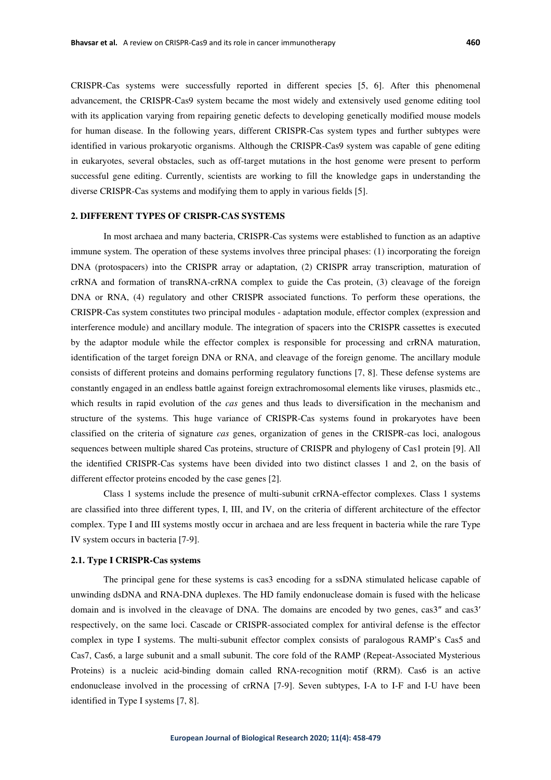CRISPR-Cas systems were successfully reported in different species [5, 6]. After this phenomenal advancement, the CRISPR-Cas9 system became the most widely and extensively used genome editing tool with its application varying from repairing genetic defects to developing genetically modified mouse models for human disease. In the following years, different CRISPR-Cas system types and further subtypes were identified in various prokaryotic organisms. Although the CRISPR-Cas9 system was capable of gene editing in eukaryotes, several obstacles, such as off-target mutations in the host genome were present to perform successful gene editing. Currently, scientists are working to fill the knowledge gaps in understanding the diverse CRISPR-Cas systems and modifying them to apply in various fields [5].

#### **2. DIFFERENT TYPES OF CRISPR-CAS SYSTEMS**

In most archaea and many bacteria, CRISPR-Cas systems were established to function as an adaptive immune system. The operation of these systems involves three principal phases: (1) incorporating the foreign DNA (protospacers) into the CRISPR array or adaptation, (2) CRISPR array transcription, maturation of crRNA and formation of transRNA-crRNA complex to guide the Cas protein, (3) cleavage of the foreign DNA or RNA, (4) regulatory and other CRISPR associated functions. To perform these operations, the CRISPR-Cas system constitutes two principal modules - adaptation module, effector complex (expression and interference module) and ancillary module. The integration of spacers into the CRISPR cassettes is executed by the adaptor module while the effector complex is responsible for processing and crRNA maturation, identification of the target foreign DNA or RNA, and cleavage of the foreign genome. The ancillary module consists of different proteins and domains performing regulatory functions [7, 8]. These defense systems are constantly engaged in an endless battle against foreign extrachromosomal elements like viruses, plasmids etc., which results in rapid evolution of the *cas* genes and thus leads to diversification in the mechanism and structure of the systems. This huge variance of CRISPR-Cas systems found in prokaryotes have been classified on the criteria of signature *cas* genes, organization of genes in the CRISPR-cas loci, analogous sequences between multiple shared Cas proteins, structure of CRISPR and phylogeny of Cas1 protein [9]. All the identified CRISPR-Cas systems have been divided into two distinct classes 1 and 2, on the basis of different effector proteins encoded by the case genes [2].

Class 1 systems include the presence of multi-subunit crRNA-effector complexes. Class 1 systems are classified into three different types, I, III, and IV, on the criteria of different architecture of the effector complex. Type I and III systems mostly occur in archaea and are less frequent in bacteria while the rare Type IV system occurs in bacteria [7-9].

#### **2.1. Type I CRISPR-Cas systems**

The principal gene for these systems is cas3 encoding for a ssDNA stimulated helicase capable of unwinding dsDNA and RNA-DNA duplexes. The HD family endonuclease domain is fused with the helicase domain and is involved in the cleavage of DNA. The domains are encoded by two genes, cas3″ and cas3′ respectively, on the same loci. Cascade or CRISPR-associated complex for antiviral defense is the effector complex in type I systems. The multi-subunit effector complex consists of paralogous RAMP's Cas5 and Cas7, Cas6, a large subunit and a small subunit. The core fold of the RAMP (Repeat-Associated Mysterious Proteins) is a nucleic acid-binding domain called RNA-recognition motif (RRM). Cas6 is an active endonuclease involved in the processing of crRNA [7-9]. Seven subtypes, I-A to I-F and I-U have been identified in Type I systems [7, 8].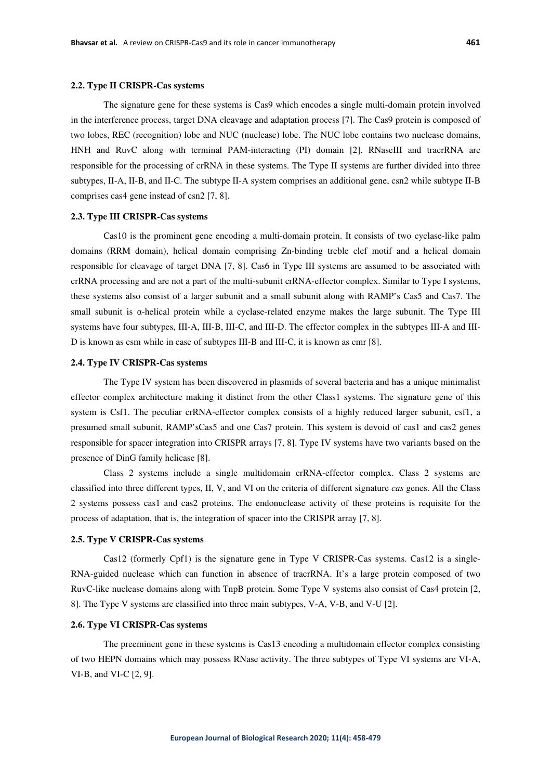The signature gene for these systems is Cas9 which encodes a single multi-domain protein involved in the interference process, target DNA cleavage and adaptation process [7]. The Cas9 protein is composed of two lobes, REC (recognition) lobe and NUC (nuclease) lobe. The NUC lobe contains two nuclease domains, HNH and RuvC along with terminal PAM-interacting (PI) domain [2]. RNaseIII and tracrRNA are responsible for the processing of crRNA in these systems. The Type II systems are further divided into three subtypes, II-A, II-B, and II-C. The subtype II-A system comprises an additional gene, csn2 while subtype II-B comprises cas4 gene instead of csn2 [7, 8].

#### **2.3. Type III CRISPR-Cas systems**

Cas10 is the prominent gene encoding a multi-domain protein. It consists of two cyclase-like palm domains (RRM domain), helical domain comprising Zn-binding treble clef motif and a helical domain responsible for cleavage of target DNA [7, 8]. Cas6 in Type III systems are assumed to be associated with crRNA processing and are not a part of the multi-subunit crRNA-effector complex. Similar to Type I systems, these systems also consist of a larger subunit and a small subunit along with RAMP's Cas5 and Cas7. The small subunit is  $\alpha$ -helical protein while a cyclase-related enzyme makes the large subunit. The Type III systems have four subtypes, III-A, III-B, III-C, and III-D. The effector complex in the subtypes III-A and III-D is known as csm while in case of subtypes III-B and III-C, it is known as cmr [8].

## **2.4. Type IV CRISPR-Cas systems**

The Type IV system has been discovered in plasmids of several bacteria and has a unique minimalist effector complex architecture making it distinct from the other Class1 systems. The signature gene of this system is Csf1. The peculiar crRNA-effector complex consists of a highly reduced larger subunit, csf1, a presumed small subunit, RAMP'sCas5 and one Cas7 protein. This system is devoid of cas1 and cas2 genes responsible for spacer integration into CRISPR arrays [7, 8]. Type IV systems have two variants based on the presence of DinG family helicase [8].

Class 2 systems include a single multidomain crRNA-effector complex. Class 2 systems are classified into three different types, II, V, and VI on the criteria of different signature *cas* genes. All the Class 2 systems possess cas1 and cas2 proteins. The endonuclease activity of these proteins is requisite for the process of adaptation, that is, the integration of spacer into the CRISPR array [7, 8].

#### **2.5. Type V CRISPR-Cas systems**

Cas12 (formerly Cpf1) is the signature gene in Type V CRISPR-Cas systems. Cas12 is a single-RNA-guided nuclease which can function in absence of tracrRNA. It's a large protein composed of two RuvC-like nuclease domains along with TnpB protein. Some Type V systems also consist of Cas4 protein [2, 8]. The Type V systems are classified into three main subtypes, V-A, V-B, and V-U [2].

## **2.6. Type VI CRISPR-Cas systems**

The preeminent gene in these systems is Cas13 encoding a multidomain effector complex consisting of two HEPN domains which may possess RNase activity. The three subtypes of Type VI systems are VI-A, VI-B, and VI-C [2, 9].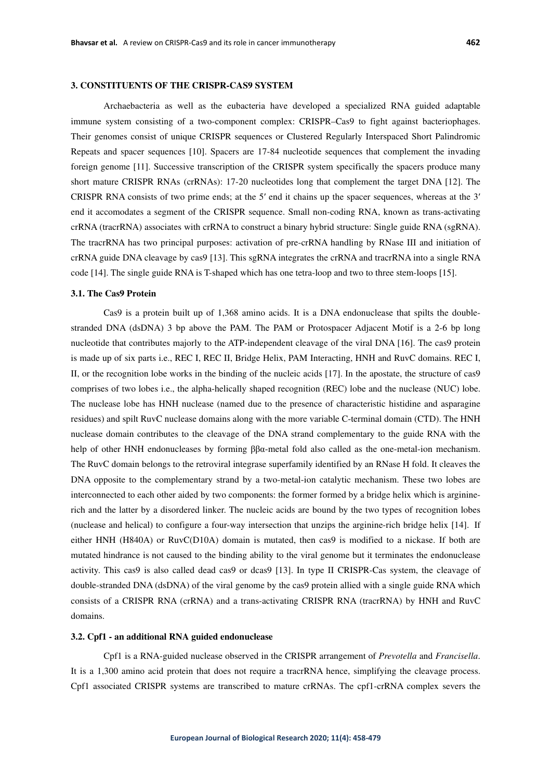## **3. CONSTITUENTS OF THE CRISPR-CAS9 SYSTEM**

Archaebacteria as well as the eubacteria have developed a specialized RNA guided adaptable immune system consisting of a two-component complex: CRISPR–Cas9 to fight against bacteriophages. Their genomes consist of unique CRISPR sequences or Clustered Regularly Interspaced Short Palindromic Repeats and spacer sequences [10]. Spacers are 17-84 nucleotide sequences that complement the invading foreign genome [11]. Successive transcription of the CRISPR system specifically the spacers produce many short mature CRISPR RNAs (crRNAs): 17-20 nucleotides long that complement the target DNA [12]. The CRISPR RNA consists of two prime ends; at the 5′ end it chains up the spacer sequences, whereas at the 3′ end it accomodates a segment of the CRISPR sequence. Small non-coding RNA, known as trans-activating crRNA (tracrRNA) associates with crRNA to construct a binary hybrid structure: Single guide RNA (sgRNA). The tracrRNA has two principal purposes: activation of pre-crRNA handling by RNase III and initiation of crRNA guide DNA cleavage by cas9 [13]. This sgRNA integrates the crRNA and tracrRNA into a single RNA code [14]. The single guide RNA is T-shaped which has one tetra-loop and two to three stem-loops [15].

#### **3.1. The Cas9 Protein**

Cas9 is a protein built up of 1,368 amino acids. It is a DNA endonuclease that spilts the doublestranded DNA (dsDNA) 3 bp above the PAM. The PAM or Protospacer Adjacent Motif is a 2-6 bp long nucleotide that contributes majorly to the ATP-independent cleavage of the viral DNA [16]. The cas9 protein is made up of six parts i.e., REC I, REC II, Bridge Helix, PAM Interacting, HNH and RuvC domains. REC I, II, or the recognition lobe works in the binding of the nucleic acids [17]. In the apostate, the structure of cas9 comprises of two lobes i.e., the alpha-helically shaped recognition (REC) lobe and the nuclease (NUC) lobe. The nuclease lobe has HNH nuclease (named due to the presence of characteristic histidine and asparagine residues) and spilt RuvC nuclease domains along with the more variable C-terminal domain (CTD). The HNH nuclease domain contributes to the cleavage of the DNA strand complementary to the guide RNA with the help of other HNH endonucleases by forming ββα-metal fold also called as the one-metal-ion mechanism. The RuvC domain belongs to the retroviral integrase superfamily identified by an RNase H fold. It cleaves the DNA opposite to the complementary strand by a two-metal-ion catalytic mechanism. These two lobes are interconnected to each other aided by two components: the former formed by a bridge helix which is argininerich and the latter by a disordered linker. The nucleic acids are bound by the two types of recognition lobes (nuclease and helical) to configure a four-way intersection that unzips the arginine-rich bridge helix [14]. If either HNH (H840A) or RuvC(D10A) domain is mutated, then cas9 is modified to a nickase. If both are mutated hindrance is not caused to the binding ability to the viral genome but it terminates the endonuclease activity. This cas9 is also called dead cas9 or dcas9 [13]. In type II CRISPR-Cas system, the cleavage of double-stranded DNA (dsDNA) of the viral genome by the cas9 protein allied with a single guide RNA which consists of a CRISPR RNA (crRNA) and a trans-activating CRISPR RNA (tracrRNA) by HNH and RuvC domains.

## **3.2. Cpf1 - an additional RNA guided endonuclease**

Cpf1 is a RNA-guided nuclease observed in the CRISPR arrangement of *Prevotella* and *Francisella*. It is a 1,300 amino acid protein that does not require a tracrRNA hence, simplifying the cleavage process. Cpf1 associated CRISPR systems are transcribed to mature crRNAs. The cpf1-crRNA complex severs the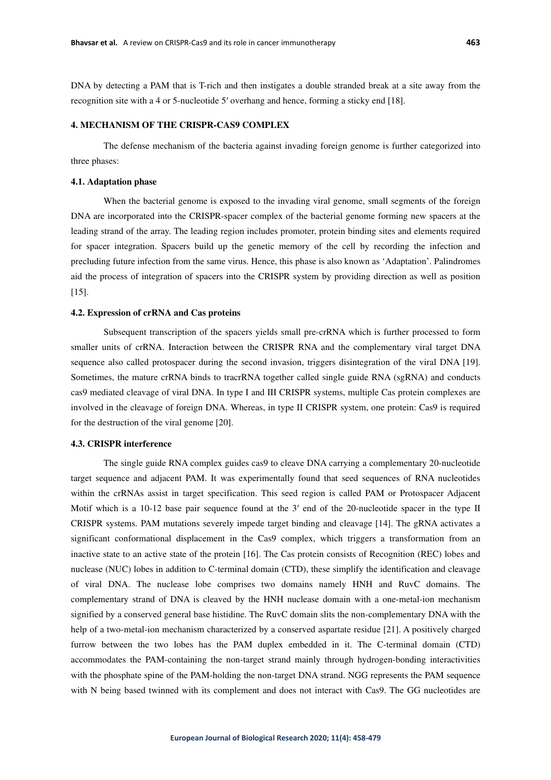DNA by detecting a PAM that is T-rich and then instigates a double stranded break at a site away from the recognition site with a 4 or 5-nucleotide 5′ overhang and hence, forming a sticky end [18].

## **4. MECHANISM OF THE CRISPR-CAS9 COMPLEX**

 The defense mechanism of the bacteria against invading foreign genome is further categorized into three phases:

## **4.1. Adaptation phase**

 When the bacterial genome is exposed to the invading viral genome, small segments of the foreign DNA are incorporated into the CRISPR-spacer complex of the bacterial genome forming new spacers at the leading strand of the array. The leading region includes promoter, protein binding sites and elements required for spacer integration. Spacers build up the genetic memory of the cell by recording the infection and precluding future infection from the same virus. Hence, this phase is also known as 'Adaptation'. Palindromes aid the process of integration of spacers into the CRISPR system by providing direction as well as position [15].

## **4.2. Expression of crRNA and Cas proteins**

 Subsequent transcription of the spacers yields small pre-crRNA which is further processed to form smaller units of crRNA. Interaction between the CRISPR RNA and the complementary viral target DNA sequence also called protospacer during the second invasion, triggers disintegration of the viral DNA [19]. Sometimes, the mature crRNA binds to tracrRNA together called single guide RNA (sgRNA) and conducts cas9 mediated cleavage of viral DNA. In type I and III CRISPR systems, multiple Cas protein complexes are involved in the cleavage of foreign DNA. Whereas, in type II CRISPR system, one protein: Cas9 is required for the destruction of the viral genome [20].

# **4.3. CRISPR interference**

 The single guide RNA complex guides cas9 to cleave DNA carrying a complementary 20-nucleotide target sequence and adjacent PAM. It was experimentally found that seed sequences of RNA nucleotides within the crRNAs assist in target specification. This seed region is called PAM or Protospacer Adjacent Motif which is a 10-12 base pair sequence found at the 3' end of the 20-nucleotide spacer in the type II CRISPR systems. PAM mutations severely impede target binding and cleavage [14]. The gRNA activates a significant conformational displacement in the Cas9 complex, which triggers a transformation from an inactive state to an active state of the protein [16]. The Cas protein consists of Recognition (REC) lobes and nuclease (NUC) lobes in addition to C-terminal domain (CTD), these simplify the identification and cleavage of viral DNA. The nuclease lobe comprises two domains namely HNH and RuvC domains. The complementary strand of DNA is cleaved by the HNH nuclease domain with a one-metal-ion mechanism signified by a conserved general base histidine. The RuvC domain slits the non-complementary DNA with the help of a two-metal-ion mechanism characterized by a conserved aspartate residue [21]. A positively charged furrow between the two lobes has the PAM duplex embedded in it. The C-terminal domain (CTD) accommodates the PAM-containing the non-target strand mainly through hydrogen-bonding interactivities with the phosphate spine of the PAM-holding the non-target DNA strand. NGG represents the PAM sequence with N being based twinned with its complement and does not interact with Cas9. The GG nucleotides are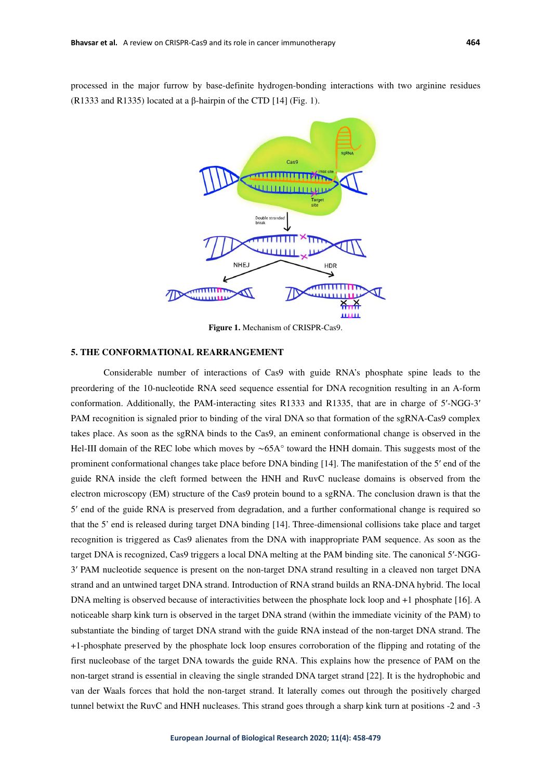processed in the major furrow by base-definite hydrogen-bonding interactions with two arginine residues (R1333 and R1335) located at a  $\beta$ -hairpin of the CTD [14] (Fig. 1).



**Figure 1.** Mechanism of CRISPR-Cas9.

# **5. THE CONFORMATIONAL REARRANGEMENT**

 Considerable number of interactions of Cas9 with guide RNA's phosphate spine leads to the preordering of the 10-nucleotide RNA seed sequence essential for DNA recognition resulting in an A-form conformation. Additionally, the PAM-interacting sites R1333 and R1335, that are in charge of 5′-NGG-3′ PAM recognition is signaled prior to binding of the viral DNA so that formation of the sgRNA-Cas9 complex takes place. As soon as the sgRNA binds to the Cas9, an eminent conformational change is observed in the Hel-III domain of the REC lobe which moves by ∼65A° toward the HNH domain. This suggests most of the prominent conformational changes take place before DNA binding [14]. The manifestation of the 5′ end of the guide RNA inside the cleft formed between the HNH and RuvC nuclease domains is observed from the electron microscopy (EM) structure of the Cas9 protein bound to a sgRNA. The conclusion drawn is that the 5′ end of the guide RNA is preserved from degradation, and a further conformational change is required so that the 5' end is released during target DNA binding [14]. Three-dimensional collisions take place and target recognition is triggered as Cas9 alienates from the DNA with inappropriate PAM sequence. As soon as the target DNA is recognized, Cas9 triggers a local DNA melting at the PAM binding site. The canonical 5′-NGG-3′ PAM nucleotide sequence is present on the non-target DNA strand resulting in a cleaved non target DNA strand and an untwined target DNA strand. Introduction of RNA strand builds an RNA-DNA hybrid. The local DNA melting is observed because of interactivities between the phosphate lock loop and +1 phosphate [16]. A noticeable sharp kink turn is observed in the target DNA strand (within the immediate vicinity of the PAM) to substantiate the binding of target DNA strand with the guide RNA instead of the non-target DNA strand. The +1-phosphate preserved by the phosphate lock loop ensures corroboration of the flipping and rotating of the first nucleobase of the target DNA towards the guide RNA. This explains how the presence of PAM on the non-target strand is essential in cleaving the single stranded DNA target strand [22]. It is the hydrophobic and van der Waals forces that hold the non-target strand. It laterally comes out through the positively charged tunnel betwixt the RuvC and HNH nucleases. This strand goes through a sharp kink turn at positions -2 and -3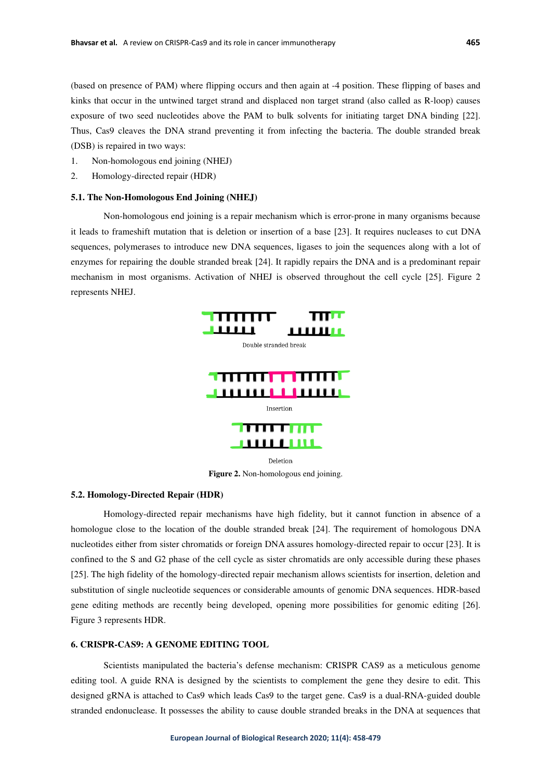(based on presence of PAM) where flipping occurs and then again at -4 position. These flipping of bases and kinks that occur in the untwined target strand and displaced non target strand (also called as R-loop) causes exposure of two seed nucleotides above the PAM to bulk solvents for initiating target DNA binding [22]. Thus, Cas9 cleaves the DNA strand preventing it from infecting the bacteria. The double stranded break (DSB) is repaired in two ways:

- 1. Non-homologous end joining (NHEJ)
- 2. Homology-directed repair (HDR)

#### **5.1. The Non-Homologous End Joining (NHEJ)**

 Non-homologous end joining is a repair mechanism which is error-prone in many organisms because it leads to frameshift mutation that is deletion or insertion of a base [23]. It requires nucleases to cut DNA sequences, polymerases to introduce new DNA sequences, ligases to join the sequences along with a lot of enzymes for repairing the double stranded break [24]. It rapidly repairs the DNA and is a predominant repair mechanism in most organisms. Activation of NHEJ is observed throughout the cell cycle [25]. Figure 2 represents NHEJ.



**Figure 2.** Non-homologous end joining.

## **5.2. Homology-Directed Repair (HDR)**

 Homology-directed repair mechanisms have high fidelity, but it cannot function in absence of a homologue close to the location of the double stranded break [24]. The requirement of homologous DNA nucleotides either from sister chromatids or foreign DNA assures homology-directed repair to occur [23]. It is confined to the S and G2 phase of the cell cycle as sister chromatids are only accessible during these phases [25]. The high fidelity of the homology-directed repair mechanism allows scientists for insertion, deletion and substitution of single nucleotide sequences or considerable amounts of genomic DNA sequences. HDR-based gene editing methods are recently being developed, opening more possibilities for genomic editing [26]. Figure 3 represents HDR.

## **6. CRISPR-CAS9: A GENOME EDITING TOOL**

Scientists manipulated the bacteria's defense mechanism: CRISPR CAS9 as a meticulous genome editing tool. A guide RNA is designed by the scientists to complement the gene they desire to edit. This designed gRNA is attached to Cas9 which leads Cas9 to the target gene. Cas9 is a dual-RNA-guided double stranded endonuclease. It possesses the ability to cause double stranded breaks in the DNA at sequences that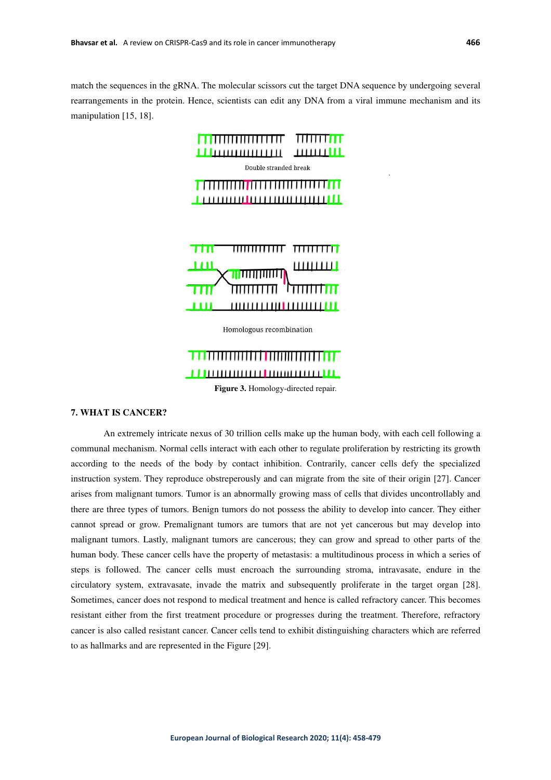match the sequences in the gRNA. The molecular scissors cut the target DNA sequence by undergoing several rearrangements in the protein. Hence, scientists can edit any DNA from a viral immune mechanism and its manipulation [15, 18].



Homologous recombination



# **7. WHAT IS CANCER?**

 An extremely intricate nexus of 30 trillion cells make up the human body, with each cell following a communal mechanism. Normal cells interact with each other to regulate proliferation by restricting its growth according to the needs of the body by contact inhibition. Contrarily, cancer cells defy the specialized instruction system. They reproduce obstreperously and can migrate from the site of their origin [27]. Cancer arises from malignant tumors. Tumor is an abnormally growing mass of cells that divides uncontrollably and there are three types of tumors. Benign tumors do not possess the ability to develop into cancer. They either cannot spread or grow. Premalignant tumors are tumors that are not yet cancerous but may develop into malignant tumors. Lastly, malignant tumors are cancerous; they can grow and spread to other parts of the human body. These cancer cells have the property of metastasis: a multitudinous process in which a series of steps is followed. The cancer cells must encroach the surrounding stroma, intravasate, endure in the circulatory system, extravasate, invade the matrix and subsequently proliferate in the target organ [28]. Sometimes, cancer does not respond to medical treatment and hence is called refractory cancer. This becomes resistant either from the first treatment procedure or progresses during the treatment. Therefore, refractory cancer is also called resistant cancer. Cancer cells tend to exhibit distinguishing characters which are referred to as hallmarks and are represented in the Figure [29].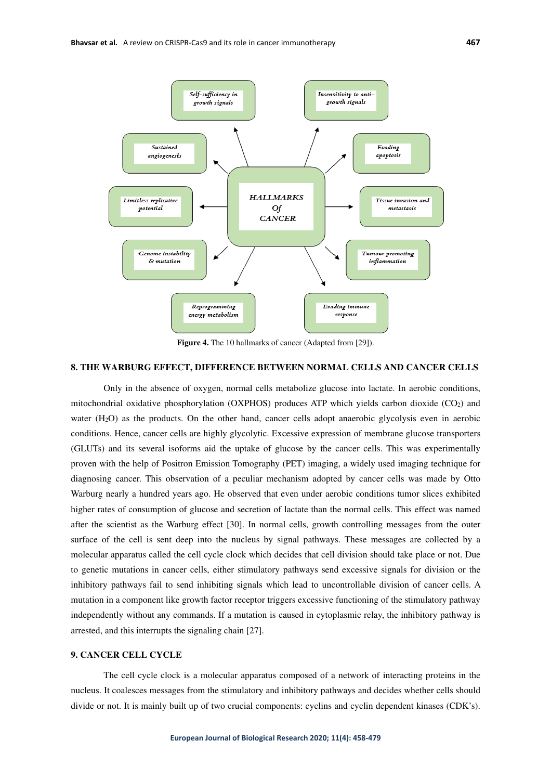

**Figure 4.** The 10 hallmarks of cancer (Adapted from [29]).

# **8. THE WARBURG EFFECT, DIFFERENCE BETWEEN NORMAL CELLS AND CANCER CELLS**

Only in the absence of oxygen, normal cells metabolize glucose into lactate. In aerobic conditions, mitochondrial oxidative phosphorylation (OXPHOS) produces ATP which yields carbon dioxide  $(CO<sub>2</sub>)$  and water (H<sub>2</sub>O) as the products. On the other hand, cancer cells adopt anaerobic glycolysis even in aerobic conditions. Hence, cancer cells are highly glycolytic. Excessive expression of membrane glucose transporters (GLUTs) and its several isoforms aid the uptake of glucose by the cancer cells. This was experimentally proven with the help of Positron Emission Tomography (PET) imaging, a widely used imaging technique for diagnosing cancer. This observation of a peculiar mechanism adopted by cancer cells was made by Otto Warburg nearly a hundred years ago. He observed that even under aerobic conditions tumor slices exhibited higher rates of consumption of glucose and secretion of lactate than the normal cells. This effect was named after the scientist as the Warburg effect [30]. In normal cells, growth controlling messages from the outer surface of the cell is sent deep into the nucleus by signal pathways. These messages are collected by a molecular apparatus called the cell cycle clock which decides that cell division should take place or not. Due to genetic mutations in cancer cells, either stimulatory pathways send excessive signals for division or the inhibitory pathways fail to send inhibiting signals which lead to uncontrollable division of cancer cells. A mutation in a component like growth factor receptor triggers excessive functioning of the stimulatory pathway independently without any commands. If a mutation is caused in cytoplasmic relay, the inhibitory pathway is arrested, and this interrupts the signaling chain [27].

## **9. CANCER CELL CYCLE**

The cell cycle clock is a molecular apparatus composed of a network of interacting proteins in the nucleus. It coalesces messages from the stimulatory and inhibitory pathways and decides whether cells should divide or not. It is mainly built up of two crucial components: cyclins and cyclin dependent kinases (CDK's).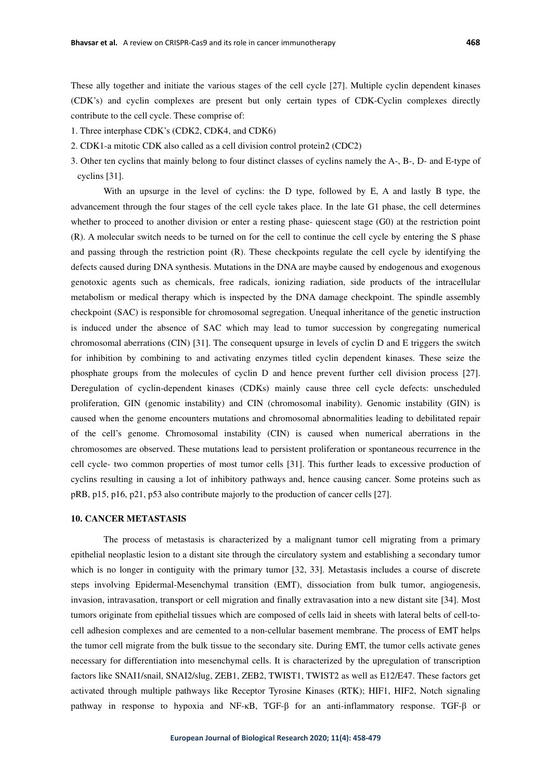These ally together and initiate the various stages of the cell cycle [27]. Multiple cyclin dependent kinases (CDK's) and cyclin complexes are present but only certain types of CDK-Cyclin complexes directly contribute to the cell cycle. These comprise of:

1. Three interphase CDK's (CDK2, CDK4, and CDK6)

- 2. CDK1-a mitotic CDK also called as a cell division control protein2 (CDC2)
- 3. Other ten cyclins that mainly belong to four distinct classes of cyclins namely the A-, B-, D- and E-type of cyclins [31].

With an upsurge in the level of cyclins: the D type, followed by E, A and lastly B type, the advancement through the four stages of the cell cycle takes place. In the late G1 phase, the cell determines whether to proceed to another division or enter a resting phase- quiescent stage (G0) at the restriction point (R). A molecular switch needs to be turned on for the cell to continue the cell cycle by entering the S phase and passing through the restriction point (R). These checkpoints regulate the cell cycle by identifying the defects caused during DNA synthesis. Mutations in the DNA are maybe caused by endogenous and exogenous genotoxic agents such as chemicals, free radicals, ionizing radiation, side products of the intracellular metabolism or medical therapy which is inspected by the DNA damage checkpoint. The spindle assembly checkpoint (SAC) is responsible for chromosomal segregation. Unequal inheritance of the genetic instruction is induced under the absence of SAC which may lead to tumor succession by congregating numerical chromosomal aberrations (CIN) [31]. The consequent upsurge in levels of cyclin D and E triggers the switch for inhibition by combining to and activating enzymes titled cyclin dependent kinases. These seize the phosphate groups from the molecules of cyclin D and hence prevent further cell division process [27]. Deregulation of cyclin-dependent kinases (CDKs) mainly cause three cell cycle defects: unscheduled proliferation, GIN (genomic instability) and CIN (chromosomal inability). Genomic instability (GIN) is caused when the genome encounters mutations and chromosomal abnormalities leading to debilitated repair of the cell's genome. Chromosomal instability (CIN) is caused when numerical aberrations in the chromosomes are observed. These mutations lead to persistent proliferation or spontaneous recurrence in the cell cycle- two common properties of most tumor cells [31]. This further leads to excessive production of cyclins resulting in causing a lot of inhibitory pathways and, hence causing cancer. Some proteins such as pRB, p15, p16, p21, p53 also contribute majorly to the production of cancer cells [27].

#### **10. CANCER METASTASIS**

The process of metastasis is characterized by a malignant tumor cell migrating from a primary epithelial neoplastic lesion to a distant site through the circulatory system and establishing a secondary tumor which is no longer in contiguity with the primary tumor [32, 33]. Metastasis includes a course of discrete steps involving Epidermal-Mesenchymal transition (EMT), dissociation from bulk tumor, angiogenesis, invasion, intravasation, transport or cell migration and finally extravasation into a new distant site [34]. Most tumors originate from epithelial tissues which are composed of cells laid in sheets with lateral belts of cell-tocell adhesion complexes and are cemented to a non-cellular basement membrane. The process of EMT helps the tumor cell migrate from the bulk tissue to the secondary site. During EMT, the tumor cells activate genes necessary for differentiation into mesenchymal cells. It is characterized by the upregulation of transcription factors like SNAI1/snail, SNAI2/slug, ZEB1, ZEB2, TWIST1, TWIST2 as well as E12/E47. These factors get activated through multiple pathways like Receptor Tyrosine Kinases (RTK); HIF1, HIF2, Notch signaling pathway in response to hypoxia and NF-κB, TGF-β for an anti-inflammatory response. TGF-β or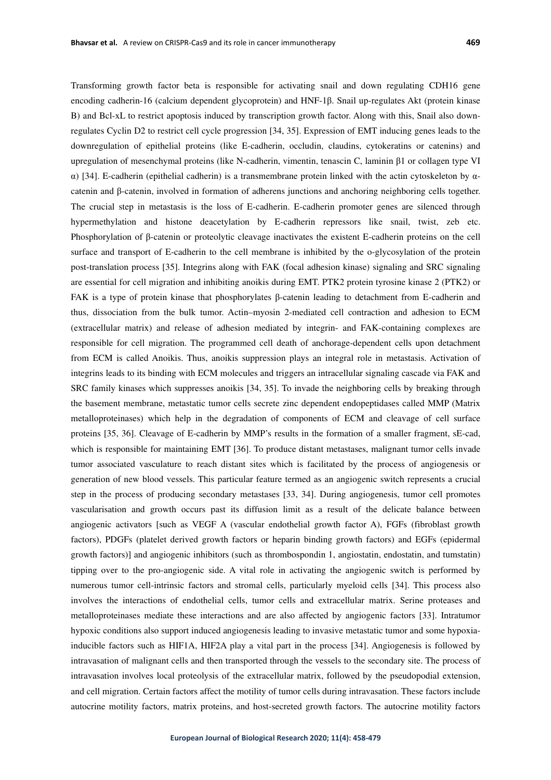Transforming growth factor beta is responsible for activating snail and down regulating CDH16 gene encoding cadherin-16 (calcium dependent glycoprotein) and HNF-1β. Snail up-regulates Akt (protein kinase B) and Bcl-xL to restrict apoptosis induced by transcription growth factor. Along with this, Snail also downregulates Cyclin D2 to restrict cell cycle progression [34, 35]. Expression of EMT inducing genes leads to the downregulation of epithelial proteins (like E-cadherin, occludin, claudins, cytokeratins or catenins) and upregulation of mesenchymal proteins (like N-cadherin, vimentin, tenascin C, laminin β1 or collagen type VI α) [34]. E-cadherin (epithelial cadherin) is a transmembrane protein linked with the actin cytoskeleton by αcatenin and β-catenin, involved in formation of adherens junctions and anchoring neighboring cells together. The crucial step in metastasis is the loss of E-cadherin. E-cadherin promoter genes are silenced through hypermethylation and histone deacetylation by E-cadherin repressors like snail, twist, zeb etc. Phosphorylation of β-catenin or proteolytic cleavage inactivates the existent E-cadherin proteins on the cell surface and transport of E-cadherin to the cell membrane is inhibited by the o-glycosylation of the protein post-translation process [35]. Integrins along with FAK (focal adhesion kinase) signaling and SRC signaling are essential for cell migration and inhibiting anoikis during EMT. PTK2 protein tyrosine kinase 2 (PTK2) or FAK is a type of protein kinase that phosphorylates β-catenin leading to detachment from E-cadherin and thus, dissociation from the bulk tumor. Actin–myosin 2-mediated cell contraction and adhesion to ECM (extracellular matrix) and release of adhesion mediated by integrin- and FAK-containing complexes are responsible for cell migration. The programmed cell death of anchorage-dependent cells upon detachment from ECM is called Anoikis. Thus, anoikis suppression plays an integral role in metastasis. Activation of integrins leads to its binding with ECM molecules and triggers an intracellular signaling cascade via FAK and SRC family kinases which suppresses anoikis [34, 35]. To invade the neighboring cells by breaking through the basement membrane, metastatic tumor cells secrete zinc dependent endopeptidases called MMP (Matrix metalloproteinases) which help in the degradation of components of ECM and cleavage of cell surface proteins [35, 36]. Cleavage of E-cadherin by MMP's results in the formation of a smaller fragment, sE-cad, which is responsible for maintaining EMT [36]. To produce distant metastases, malignant tumor cells invade tumor associated vasculature to reach distant sites which is facilitated by the process of angiogenesis or generation of new blood vessels. This particular feature termed as an angiogenic switch represents a crucial step in the process of producing secondary metastases [33, 34]. During angiogenesis, tumor cell promotes vascularisation and growth occurs past its diffusion limit as a result of the delicate balance between angiogenic activators [such as VEGF A (vascular endothelial growth factor A), FGFs (fibroblast growth factors), PDGFs (platelet derived growth factors or heparin binding growth factors) and EGFs (epidermal growth factors)] and angiogenic inhibitors (such as thrombospondin 1, angiostatin, endostatin, and tumstatin) tipping over to the pro-angiogenic side. A vital role in activating the angiogenic switch is performed by numerous tumor cell-intrinsic factors and stromal cells, particularly myeloid cells [34]. This process also involves the interactions of endothelial cells, tumor cells and extracellular matrix. Serine proteases and metalloproteinases mediate these interactions and are also affected by angiogenic factors [33]. Intratumor hypoxic conditions also support induced angiogenesis leading to invasive metastatic tumor and some hypoxiainducible factors such as HIF1A, HIF2A play a vital part in the process [34]. Angiogenesis is followed by intravasation of malignant cells and then transported through the vessels to the secondary site. The process of intravasation involves local proteolysis of the extracellular matrix, followed by the pseudopodial extension, and cell migration. Certain factors affect the motility of tumor cells during intravasation. These factors include autocrine motility factors, matrix proteins, and host-secreted growth factors. The autocrine motility factors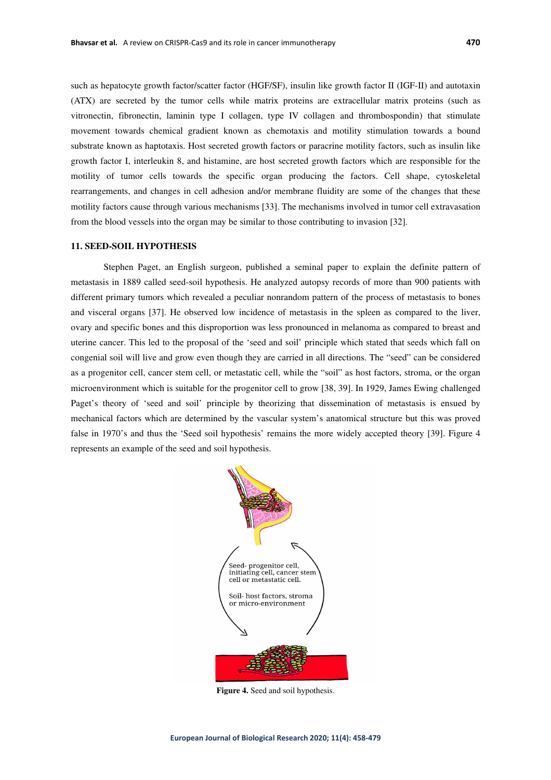such as hepatocyte growth factor/scatter factor (HGF/SF), insulin like growth factor II (IGF-II) and autotaxin (ATX) are secreted by the tumor cells while matrix proteins are extracellular matrix proteins (such as vitronectin, fibronectin, laminin type I collagen, type IV collagen and thrombospondin) that stimulate movement towards chemical gradient known as chemotaxis and motility stimulation towards a bound substrate known as haptotaxis. Host secreted growth factors or paracrine motility factors, such as insulin like growth factor I, interleukin 8, and histamine, are host secreted growth factors which are responsible for the motility of tumor cells towards the specific organ producing the factors. Cell shape, cytoskeletal rearrangements, and changes in cell adhesion and/or membrane fluidity are some of the changes that these motility factors cause through various mechanisms [33]. The mechanisms involved in tumor cell extravasation from the blood vessels into the organ may be similar to those contributing to invasion [32].

#### **11. SEED-SOIL HYPOTHESIS**

Stephen Paget, an English surgeon, published a seminal paper to explain the definite pattern of metastasis in 1889 called seed-soil hypothesis. He analyzed autopsy records of more than 900 patients with different primary tumors which revealed a peculiar nonrandom pattern of the process of metastasis to bones and visceral organs [37]. He observed low incidence of metastasis in the spleen as compared to the liver, ovary and specific bones and this disproportion was less pronounced in melanoma as compared to breast and uterine cancer. This led to the proposal of the 'seed and soil' principle which stated that seeds which fall on congenial soil will live and grow even though they are carried in all directions. The "seed" can be considered as a progenitor cell, cancer stem cell, or metastatic cell, while the "soil" as host factors, stroma, or the organ microenvironment which is suitable for the progenitor cell to grow [38, 39]. In 1929, James Ewing challenged Paget's theory of 'seed and soil' principle by theorizing that dissemination of metastasis is ensued by mechanical factors which are determined by the vascular system's anatomical structure but this was proved false in 1970's and thus the 'Seed soil hypothesis' remains the more widely accepted theory [39]. Figure 4 represents an example of the seed and soil hypothesis.



**Figure 4.** Seed and soil hypothesis.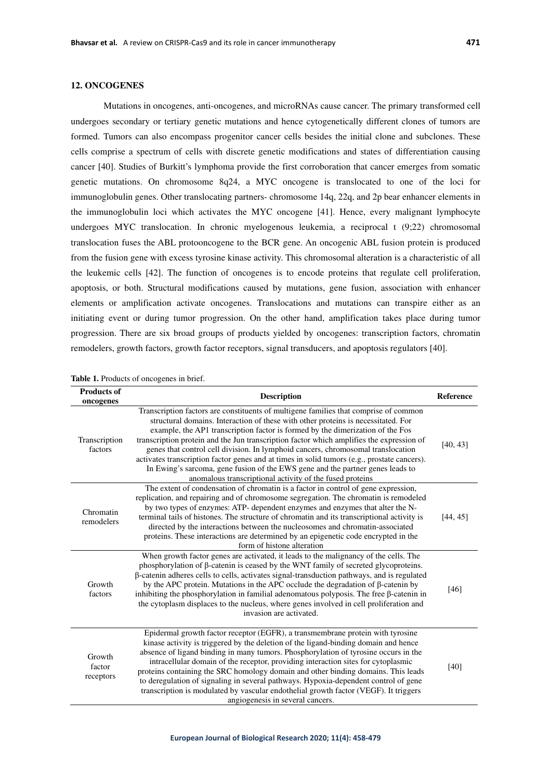# **12. ONCOGENES**

Mutations in oncogenes, anti-oncogenes, and microRNAs cause cancer. The primary transformed cell undergoes secondary or tertiary genetic mutations and hence cytogenetically different clones of tumors are formed. Tumors can also encompass progenitor cancer cells besides the initial clone and subclones. These cells comprise a spectrum of cells with discrete genetic modifications and states of differentiation causing cancer [40]. Studies of Burkitt's lymphoma provide the first corroboration that cancer emerges from somatic genetic mutations. On chromosome 8q24, a MYC oncogene is translocated to one of the loci for immunoglobulin genes. Other translocating partners- chromosome 14q, 22q, and 2p bear enhancer elements in the immunoglobulin loci which activates the MYC oncogene [41]. Hence, every malignant lymphocyte undergoes MYC translocation. In chronic myelogenous leukemia, a reciprocal t (9;22) chromosomal translocation fuses the ABL protooncogene to the BCR gene. An oncogenic ABL fusion protein is produced from the fusion gene with excess tyrosine kinase activity. This chromosomal alteration is a characteristic of all the leukemic cells [42]. The function of oncogenes is to encode proteins that regulate cell proliferation, apoptosis, or both. Structural modifications caused by mutations, gene fusion, association with enhancer elements or amplification activate oncogenes. Translocations and mutations can transpire either as an initiating event or during tumor progression. On the other hand, amplification takes place during tumor progression. There are six broad groups of products yielded by oncogenes: transcription factors, chromatin remodelers, growth factors, growth factor receptors, signal transducers, and apoptosis regulators [40].

| <b>Products of</b><br>oncogenes | <b>Description</b>                                                                                                                                                                                                                                                                                                                                                                                                                                                                                                                                                                                                                                                                       | Reference |
|---------------------------------|------------------------------------------------------------------------------------------------------------------------------------------------------------------------------------------------------------------------------------------------------------------------------------------------------------------------------------------------------------------------------------------------------------------------------------------------------------------------------------------------------------------------------------------------------------------------------------------------------------------------------------------------------------------------------------------|-----------|
| Transcription<br>factors        | Transcription factors are constituents of multigene families that comprise of common<br>structural domains. Interaction of these with other proteins is necessitated. For<br>example, the AP1 transcription factor is formed by the dimerization of the Fos<br>transcription protein and the Jun transcription factor which amplifies the expression of<br>genes that control cell division. In lymphoid cancers, chromosomal translocation<br>activates transcription factor genes and at times in solid tumors (e.g., prostate cancers).<br>In Ewing's sarcoma, gene fusion of the EWS gene and the partner genes leads to<br>anomalous transcriptional activity of the fused proteins | [40, 43]  |
| Chromatin<br>remodelers         | The extent of condensation of chromatin is a factor in control of gene expression,<br>replication, and repairing and of chromosome segregation. The chromatin is remodeled<br>by two types of enzymes: ATP- dependent enzymes and enzymes that alter the N-<br>terminal tails of histones. The structure of chromatin and its transcriptional activity is<br>directed by the interactions between the nucleosomes and chromatin-associated<br>proteins. These interactions are determined by an epigenetic code encrypted in the<br>form of histone alteration                                                                                                                           | [44, 45]  |
| Growth<br>factors               | When growth factor genes are activated, it leads to the malignancy of the cells. The<br>phosphorylation of $\beta$ -catenin is ceased by the WNT family of secreted glycoproteins.<br>β-catenin adheres cells to cells, activates signal-transduction pathways, and is regulated<br>by the APC protein. Mutations in the APC occlude the degradation of $\beta$ -catenin by<br>inhibiting the phosphorylation in familial adenomatous polyposis. The free $\beta$ -catenin in<br>the cytoplasm displaces to the nucleus, where genes involved in cell proliferation and<br>invasion are activated.                                                                                       | [46]      |
| Growth<br>factor<br>receptors   | Epidermal growth factor receptor (EGFR), a transmembrane protein with tyrosine<br>kinase activity is triggered by the deletion of the ligand-binding domain and hence<br>absence of ligand binding in many tumors. Phosphorylation of tyrosine occurs in the<br>intracellular domain of the receptor, providing interaction sites for cytoplasmic<br>proteins containing the SRC homology domain and other binding domains. This leads<br>to deregulation of signaling in several pathways. Hypoxia-dependent control of gene<br>transcription is modulated by vascular endothelial growth factor (VEGF). It triggers<br>angiogenesis in several cancers.                                | $[40]$    |

**Table 1.** Products of oncogenes in brief.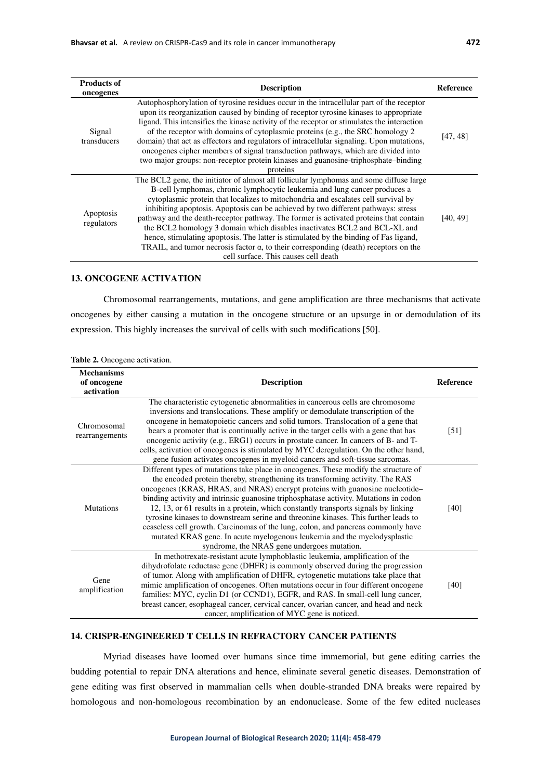| <b>Products of</b><br>oncogenes | <b>Description</b>                                                                                                                                                                                                                                                                                                                                                                                                                                                                                                                                                                                                                                                                                                                                 | <b>Reference</b> |
|---------------------------------|----------------------------------------------------------------------------------------------------------------------------------------------------------------------------------------------------------------------------------------------------------------------------------------------------------------------------------------------------------------------------------------------------------------------------------------------------------------------------------------------------------------------------------------------------------------------------------------------------------------------------------------------------------------------------------------------------------------------------------------------------|------------------|
| Signal<br>transducers           | Autophosphorylation of tyrosine residues occur in the intracellular part of the receptor<br>upon its reorganization caused by binding of receptor tyrosine kinases to appropriate<br>ligand. This intensifies the kinase activity of the receptor or stimulates the interaction<br>of the receptor with domains of cytoplasmic proteins (e.g., the SRC homology 2<br>domain) that act as effectors and regulators of intracellular signaling. Upon mutations,<br>oncogenes cipher members of signal transduction pathways, which are divided into<br>two major groups: non-receptor protein kinases and guanosine-triphosphate-binding<br>proteins                                                                                                 | [47, 48]         |
| Apoptosis<br>regulators         | The BCL2 gene, the initiator of almost all follicular lymphomas and some diffuse large<br>B-cell lymphomas, chronic lymphocytic leukemia and lung cancer produces a<br>cytoplasmic protein that localizes to mitochondria and escalates cell survival by<br>inhibiting apoptosis. Apoptosis can be achieved by two different pathways: stress<br>pathway and the death-receptor pathway. The former is activated proteins that contain<br>the BCL2 homology 3 domain which disables inactivates BCL2 and BCL-XL and<br>hence, stimulating apoptosis. The latter is stimulated by the binding of Fas ligand,<br>TRAIL, and tumor necrosis factor $\alpha$ , to their corresponding (death) receptors on the<br>cell surface. This causes cell death | [40, 49]         |

# **13. ONCOGENE ACTIVATION**

Chromosomal rearrangements, mutations, and gene amplification are three mechanisms that activate oncogenes by either causing a mutation in the oncogene structure or an upsurge in or demodulation of its expression. This highly increases the survival of cells with such modifications [50].

| <b>Mechanisms</b><br>of oncogene<br>activation | <b>Description</b>                                                                                                                                                                                                                                                                                                                                                                                                                                                                                                                                                                                                                                                                                                                      | <b>Reference</b>  |
|------------------------------------------------|-----------------------------------------------------------------------------------------------------------------------------------------------------------------------------------------------------------------------------------------------------------------------------------------------------------------------------------------------------------------------------------------------------------------------------------------------------------------------------------------------------------------------------------------------------------------------------------------------------------------------------------------------------------------------------------------------------------------------------------------|-------------------|
| Chromosomal<br>rearrangements                  | The characteristic cytogenetic abnormalities in cancerous cells are chromosome<br>inversions and translocations. These amplify or demodulate transcription of the<br>oncogene in hematopoietic cancers and solid tumors. Translocation of a gene that<br>bears a promoter that is continually active in the target cells with a gene that has<br>oncogenic activity (e.g., ERG1) occurs in prostate cancer. In cancers of B- and T-<br>cells, activation of oncogenes is stimulated by MYC deregulation. On the other hand,<br>gene fusion activates oncogenes in myeloid cancers and soft-tissue sarcomas.                                                                                                                             | $\left[51\right]$ |
| <b>Mutations</b>                               | Different types of mutations take place in oncogenes. These modify the structure of<br>the encoded protein thereby, strengthening its transforming activity. The RAS<br>oncogenes (KRAS, HRAS, and NRAS) encrypt proteins with guanosine nucleotide-<br>binding activity and intrinsic guanosine triphosphatase activity. Mutations in codon<br>12, 13, or 61 results in a protein, which constantly transports signals by linking<br>tyrosine kinases to downstream serine and threonine kinases. This further leads to<br>ceaseless cell growth. Carcinomas of the lung, colon, and pancreas commonly have<br>mutated KRAS gene. In acute myelogenous leukemia and the myelodysplastic<br>syndrome, the NRAS gene undergoes mutation. | [40]              |
| Gene<br>amplification                          | In methotrexate-resistant acute lymphoblastic leukemia, amplification of the<br>dihydrofolate reductase gene (DHFR) is commonly observed during the progression<br>of tumor. Along with amplification of DHFR, cytogenetic mutations take place that<br>mimic amplification of oncogenes. Often mutations occur in four different oncogene<br>families: MYC, cyclin D1 (or CCND1), EGFR, and RAS. In small-cell lung cancer,<br>breast cancer, esophageal cancer, cervical cancer, ovarian cancer, and head and neck<br>cancer, amplification of MYC gene is noticed.                                                                                                                                                                   | [40]              |

# **14. CRISPR-ENGINEERED T CELLS IN REFRACTORY CANCER PATIENTS**

Myriad diseases have loomed over humans since time immemorial, but gene editing carries the budding potential to repair DNA alterations and hence, eliminate several genetic diseases. Demonstration of gene editing was first observed in mammalian cells when double-stranded DNA breaks were repaired by homologous and non-homologous recombination by an endonuclease. Some of the few edited nucleases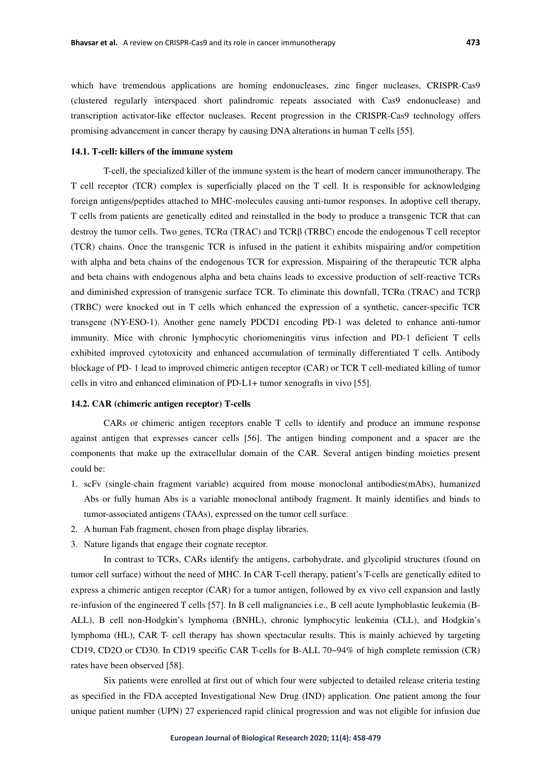which have tremendous applications are homing endonucleases, zinc finger nucleases, CRISPR-Cas9 (clustered regularly interspaced short palindromic repeats associated with Cas9 endonuclease) and transcription activator-like effector nucleases. Recent progression in the CRISPR-Cas9 technology offers promising advancement in cancer therapy by causing DNA alterations in human T cells [55].

## **14.1. T-cell: killers of the immune system**

T-cell, the specialized killer of the immune system is the heart of modern cancer immunotherapy. The T cell receptor (TCR) complex is superficially placed on the T cell. It is responsible for acknowledging foreign antigens/peptides attached to MHC-molecules causing anti-tumor responses. In adoptive cell therapy, T cells from patients are genetically edited and reinstalled in the body to produce a transgenic TCR that can destroy the tumor cells. Two genes, TCRα (TRAC) and TCRβ (TRBC) encode the endogenous T cell receptor (TCR) chains. Once the transgenic TCR is infused in the patient it exhibits mispairing and/or competition with alpha and beta chains of the endogenous TCR for expression. Mispairing of the therapeutic TCR alpha and beta chains with endogenous alpha and beta chains leads to excessive production of self-reactive TCRs and diminished expression of transgenic surface TCR. To eliminate this downfall, TCR $\alpha$  (TRAC) and TCR $\beta$ (TRBC) were knocked out in T cells which enhanced the expression of a synthetic, cancer-specific TCR transgene (NY-ESO-1). Another gene namely PDCD1 encoding PD-1 was deleted to enhance anti-tumor immunity. Mice with chronic lymphocytic choriomeningitis virus infection and PD-1 deficient T cells exhibited improved cytotoxicity and enhanced accumulation of terminally differentiated T cells. Antibody blockage of PD- 1 lead to improved chimeric antigen receptor (CAR) or TCR T cell-mediated killing of tumor cells in vitro and enhanced elimination of PD-L1+ tumor xenografts in vivo [55].

# **14.2. CAR (chimeric antigen receptor) T-cells**

CARs or chimeric antigen receptors enable T cells to identify and produce an immune response against antigen that expresses cancer cells [56]. The antigen binding component and a spacer are the components that make up the extracellular domain of the CAR. Several antigen binding moieties present could be:

- 1. scFv (single-chain fragment variable) acquired from mouse monoclonal antibodies(mAbs), humanized Abs or fully human Abs is a variable monoclonal antibody fragment. It mainly identifies and binds to tumor-associated antigens (TAAs), expressed on the tumor cell surface.
- 2. A human Fab fragment, chosen from phage display libraries.
- 3. Nature ligands that engage their cognate receptor.

In contrast to TCRs, CARs identify the antigens, carbohydrate, and glycolipid structures (found on tumor cell surface) without the need of MHC. In CAR T-cell therapy, patient's T-cells are genetically edited to express a chimeric antigen receptor (CAR) for a tumor antigen, followed by ex vivo cell expansion and lastly re-infusion of the engineered T cells [57]. In B cell malignancies i.e., B cell acute lymphoblastic leukemia (B-ALL), B cell non-Hodgkin's lymphoma (BNHL), chronic lymphocytic leukemia (CLL), and Hodgkin's lymphoma (HL), CAR T- cell therapy has shown spectacular results. This is mainly achieved by targeting CD19, CD2O or CD30. In CD19 specific CAR T-cells for B-ALL 70~94% of high complete remission (CR) rates have been observed [58].

Six patients were enrolled at first out of which four were subjected to detailed release criteria testing as specified in the FDA accepted Investigational New Drug (IND) application. One patient among the four unique patient number (UPN) 27 experienced rapid clinical progression and was not eligible for infusion due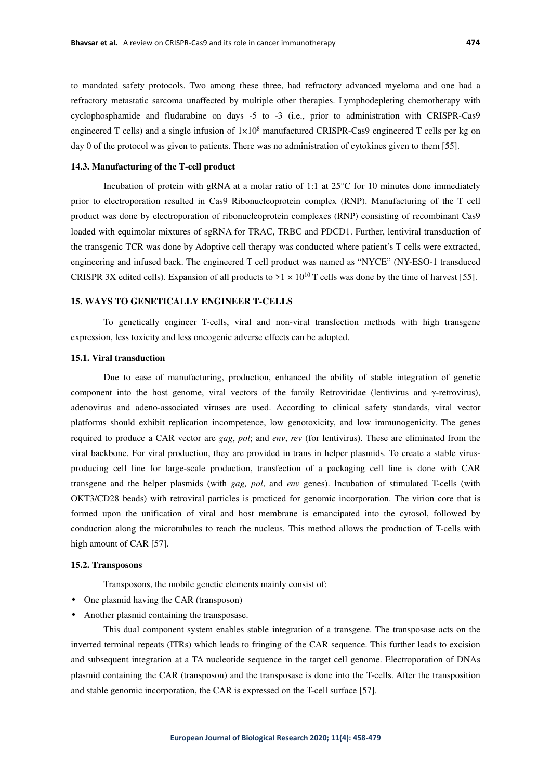to mandated safety protocols. Two among these three, had refractory advanced myeloma and one had a refractory metastatic sarcoma unaffected by multiple other therapies. Lymphodepleting chemotherapy with cyclophosphamide and fludarabine on days -5 to -3 (i.e., prior to administration with CRISPR-Cas9 engineered T cells) and a single infusion of  $1 \times 10^8$  manufactured CRISPR-Cas9 engineered T cells per kg on day 0 of the protocol was given to patients. There was no administration of cytokines given to them [55].

# **14.3. Manufacturing of the T-cell product**

Incubation of protein with gRNA at a molar ratio of 1:1 at  $25^{\circ}$ C for 10 minutes done immediately prior to electroporation resulted in Cas9 Ribonucleoprotein complex (RNP). Manufacturing of the T cell product was done by electroporation of ribonucleoprotein complexes (RNP) consisting of recombinant Cas9 loaded with equimolar mixtures of sgRNA for TRAC, TRBC and PDCD1. Further, lentiviral transduction of the transgenic TCR was done by Adoptive cell therapy was conducted where patient's T cells were extracted, engineering and infused back. The engineered T cell product was named as "NYCE" (NY-ESO-1 transduced CRISPR 3X edited cells). Expansion of all products to  $>1 \times 10^{10}$  T cells was done by the time of harvest [55].

## **15. WAYS TO GENETICALLY ENGINEER T-CELLS**

To genetically engineer T-cells, viral and non-viral transfection methods with high transgene expression, less toxicity and less oncogenic adverse effects can be adopted.

## **15.1. Viral transduction**

Due to ease of manufacturing, production, enhanced the ability of stable integration of genetic component into the host genome, viral vectors of the family Retroviridae (lentivirus and γ-retrovirus), adenovirus and adeno-associated viruses are used. According to clinical safety standards, viral vector platforms should exhibit replication incompetence, low genotoxicity, and low immunogenicity. The genes required to produce a CAR vector are *gag*, *pol*; and *env*, *rev* (for lentivirus). These are eliminated from the viral backbone. For viral production, they are provided in trans in helper plasmids. To create a stable virusproducing cell line for large-scale production, transfection of a packaging cell line is done with CAR transgene and the helper plasmids (with *gag, pol*, and *env* genes). Incubation of stimulated T-cells (with OKT3/CD28 beads) with retroviral particles is practiced for genomic incorporation. The virion core that is formed upon the unification of viral and host membrane is emancipated into the cytosol, followed by conduction along the microtubules to reach the nucleus. This method allows the production of T-cells with high amount of CAR [57].

#### **15.2. Transposons**

Transposons, the mobile genetic elements mainly consist of:

- One plasmid having the CAR (transposon)
- Another plasmid containing the transposase.

This dual component system enables stable integration of a transgene. The transposase acts on the inverted terminal repeats (ITRs) which leads to fringing of the CAR sequence. This further leads to excision and subsequent integration at a TA nucleotide sequence in the target cell genome. Electroporation of DNAs plasmid containing the CAR (transposon) and the transposase is done into the T-cells. After the transposition and stable genomic incorporation, the CAR is expressed on the T-cell surface [57].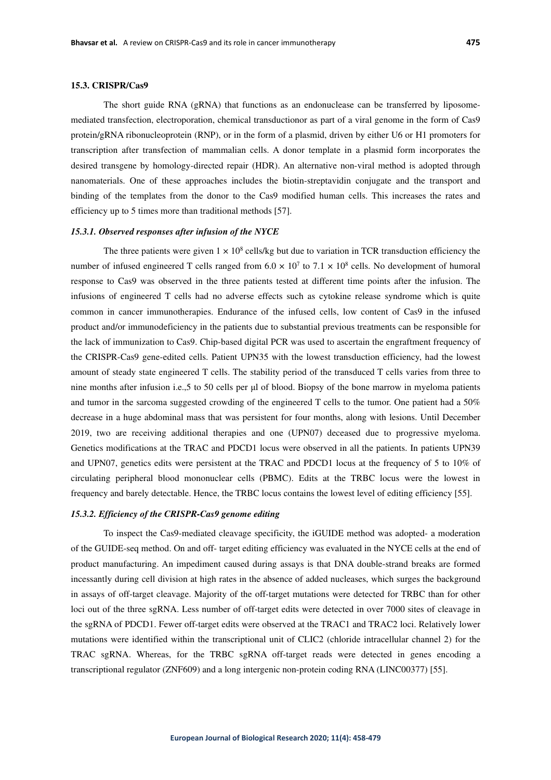The short guide RNA (gRNA) that functions as an endonuclease can be transferred by liposomemediated transfection, electroporation, chemical transductionor as part of a viral genome in the form of Cas9 protein/gRNA ribonucleoprotein (RNP), or in the form of a plasmid, driven by either U6 or H1 promoters for transcription after transfection of mammalian cells. A donor template in a plasmid form incorporates the desired transgene by homology-directed repair (HDR). An alternative non-viral method is adopted through nanomaterials. One of these approaches includes the biotin-streptavidin conjugate and the transport and binding of the templates from the donor to the Cas9 modified human cells. This increases the rates and efficiency up to 5 times more than traditional methods [57].

#### *15.3.1. Observed responses after infusion of the NYCE*

The three patients were given  $1 \times 10^8$  cells/kg but due to variation in TCR transduction efficiency the number of infused engineered T cells ranged from  $6.0 \times 10^7$  to  $7.1 \times 10^8$  cells. No development of humoral response to Cas9 was observed in the three patients tested at different time points after the infusion. The infusions of engineered T cells had no adverse effects such as cytokine release syndrome which is quite common in cancer immunotherapies. Endurance of the infused cells, low content of Cas9 in the infused product and/or immunodeficiency in the patients due to substantial previous treatments can be responsible for the lack of immunization to Cas9. Chip-based digital PCR was used to ascertain the engraftment frequency of the CRISPR-Cas9 gene-edited cells. Patient UPN35 with the lowest transduction efficiency, had the lowest amount of steady state engineered T cells. The stability period of the transduced T cells varies from three to nine months after infusion i.e.,5 to 50 cells per μl of blood. Biopsy of the bone marrow in myeloma patients and tumor in the sarcoma suggested crowding of the engineered T cells to the tumor. One patient had a 50% decrease in a huge abdominal mass that was persistent for four months, along with lesions. Until December 2019, two are receiving additional therapies and one (UPN07) deceased due to progressive myeloma. Genetics modifications at the TRAC and PDCD1 locus were observed in all the patients. In patients UPN39 and UPN07, genetics edits were persistent at the TRAC and PDCD1 locus at the frequency of 5 to 10% of circulating peripheral blood mononuclear cells (PBMC). Edits at the TRBC locus were the lowest in frequency and barely detectable. Hence, the TRBC locus contains the lowest level of editing efficiency [55].

## *15.3.2. Efficiency of the CRISPR-Cas9 genome editing*

To inspect the Cas9-mediated cleavage specificity, the iGUIDE method was adopted- a moderation of the GUIDE-seq method. On and off- target editing efficiency was evaluated in the NYCE cells at the end of product manufacturing. An impediment caused during assays is that DNA double-strand breaks are formed incessantly during cell division at high rates in the absence of added nucleases, which surges the background in assays of off-target cleavage. Majority of the off-target mutations were detected for TRBC than for other loci out of the three sgRNA. Less number of off-target edits were detected in over 7000 sites of cleavage in the sgRNA of PDCD1. Fewer off-target edits were observed at the TRAC1 and TRAC2 loci. Relatively lower mutations were identified within the transcriptional unit of CLIC2 (chloride intracellular channel 2) for the TRAC sgRNA. Whereas, for the TRBC sgRNA off-target reads were detected in genes encoding a transcriptional regulator (ZNF609) and a long intergenic non-protein coding RNA (LINC00377) [55].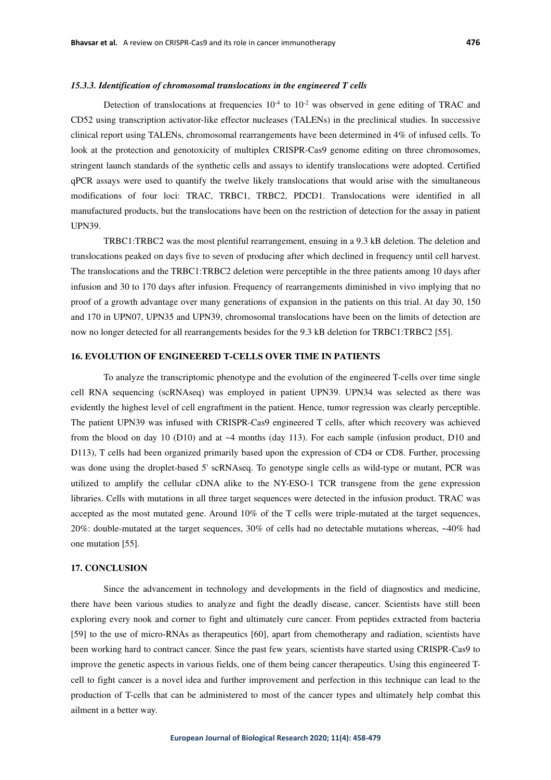Detection of translocations at frequencies  $10^{-4}$  to  $10^{-2}$  was observed in gene editing of TRAC and CD52 using transcription activator-like effector nucleases (TALENs) in the preclinical studies. In successive clinical report using TALENs, chromosomal rearrangements have been determined in 4% of infused cells. To look at the protection and genotoxicity of multiplex CRISPR-Cas9 genome editing on three chromosomes, stringent launch standards of the synthetic cells and assays to identify translocations were adopted. Certified qPCR assays were used to quantify the twelve likely translocations that would arise with the simultaneous modifications of four loci: TRAC, TRBC1, TRBC2, PDCD1. Translocations were identified in all manufactured products, but the translocations have been on the restriction of detection for the assay in patient UPN39.

TRBC1:TRBC2 was the most plentiful rearrangement, ensuing in a 9.3 kB deletion. The deletion and translocations peaked on days five to seven of producing after which declined in frequency until cell harvest. The translocations and the TRBC1:TRBC2 deletion were perceptible in the three patients among 10 days after infusion and 30 to 170 days after infusion. Frequency of rearrangements diminished in vivo implying that no proof of a growth advantage over many generations of expansion in the patients on this trial. At day 30, 150 and 170 in UPN07, UPN35 and UPN39, chromosomal translocations have been on the limits of detection are now no longer detected for all rearrangements besides for the 9.3 kB deletion for TRBC1:TRBC2 [55].

# **16. EVOLUTION OF ENGINEERED T-CELLS OVER TIME IN PATIENTS**

To analyze the transcriptomic phenotype and the evolution of the engineered T-cells over time single cell RNA sequencing (scRNAseq) was employed in patient UPN39. UPN34 was selected as there was evidently the highest level of cell engraftment in the patient. Hence, tumor regression was clearly perceptible. The patient UPN39 was infused with CRISPR-Cas9 engineered T cells, after which recovery was achieved from the blood on day 10 (D10) and at  $\sim$ 4 months (day 113). For each sample (infusion product, D10 and D113), T cells had been organized primarily based upon the expression of CD4 or CD8. Further, processing was done using the droplet-based 5' scRNAseq. To genotype single cells as wild-type or mutant, PCR was utilized to amplify the cellular cDNA alike to the NY-ESO-1 TCR transgene from the gene expression libraries. Cells with mutations in all three target sequences were detected in the infusion product. TRAC was accepted as the most mutated gene. Around 10% of the T cells were triple-mutated at the target sequences, 20%: double-mutated at the target sequences, 30% of cells had no detectable mutations whereas, ~40% had one mutation [55].

## **17. CONCLUSION**

Since the advancement in technology and developments in the field of diagnostics and medicine, there have been various studies to analyze and fight the deadly disease, cancer. Scientists have still been exploring every nook and corner to fight and ultimately cure cancer. From peptides extracted from bacteria [59] to the use of micro-RNAs as therapeutics [60], apart from chemotherapy and radiation, scientists have been working hard to contract cancer. Since the past few years, scientists have started using CRISPR-Cas9 to improve the genetic aspects in various fields, one of them being cancer therapeutics. Using this engineered Tcell to fight cancer is a novel idea and further improvement and perfection in this technique can lead to the production of T-cells that can be administered to most of the cancer types and ultimately help combat this ailment in a better way.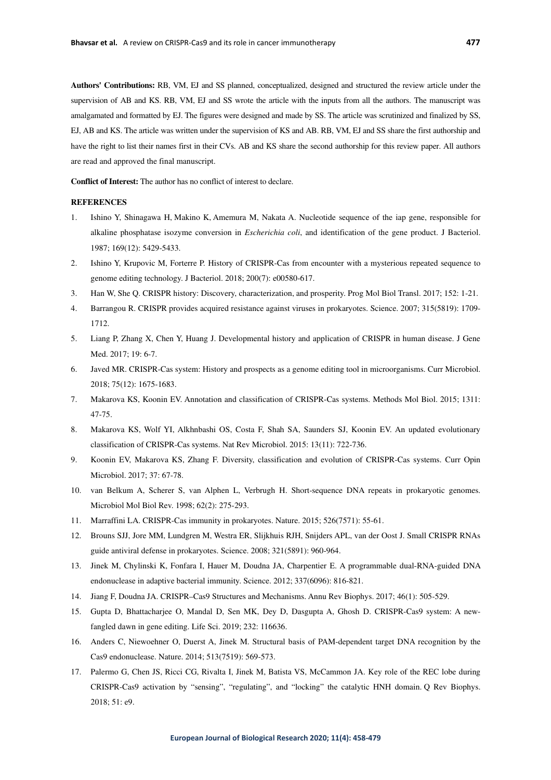**Authors' Contributions:** RB, VM, EJ and SS planned, conceptualized, designed and structured the review article under the supervision of AB and KS. RB, VM, EJ and SS wrote the article with the inputs from all the authors. The manuscript was amalgamated and formatted by EJ. The figures were designed and made by SS. The article was scrutinized and finalized by SS, EJ, AB and KS. The article was written under the supervision of KS and AB. RB, VM, EJ and SS share the first authorship and have the right to list their names first in their CVs. AB and KS share the second authorship for this review paper. All authors are read and approved the final manuscript.

**Conflict of Interest:** The author has no conflict of interest to declare.

## **REFERENCES**

- 1. Ishino Y, Shinagawa H, Makino K, Amemura M, Nakata A. Nucleotide sequence of the iap gene, responsible for alkaline phosphatase isozyme conversion in *Escherichia coli*, and identification of the gene product. J Bacteriol. 1987; 169(12): 5429-5433.
- 2. Ishino Y, Krupovic M, Forterre P. History of CRISPR-Cas from encounter with a mysterious repeated sequence to genome editing technology. J Bacteriol. 2018; 200(7): e00580-617.
- 3. Han W, She Q. CRISPR history: Discovery, characterization, and prosperity. Prog Mol Biol Transl. 2017; 152: 1-21.
- 4. Barrangou R. CRISPR provides acquired resistance against viruses in prokaryotes. Science. 2007; 315(5819): 1709- 1712.
- 5. Liang P, Zhang X, Chen Y, Huang J. Developmental history and application of CRISPR in human disease. J Gene Med. 2017; 19: 6-7.
- 6. Javed MR. CRISPR-Cas system: History and prospects as a genome editing tool in microorganisms. Curr Microbiol. 2018; 75(12): 1675-1683.
- 7. Makarova KS, Koonin EV. Annotation and classification of CRISPR-Cas systems. Methods Mol Biol. 2015; 1311: 47-75.
- 8. Makarova KS, Wolf YI, Alkhnbashi OS, Costa F, Shah SA, Saunders SJ, Koonin EV. An updated evolutionary classification of CRISPR-Cas systems. Nat Rev Microbiol. 2015: 13(11): 722-736.
- 9. Koonin EV, Makarova KS, Zhang F. Diversity, classification and evolution of CRISPR-Cas systems. Curr Opin Microbiol. 2017; 37: 67-78.
- 10. van Belkum A, Scherer S, van Alphen L, Verbrugh H. Short-sequence DNA repeats in prokaryotic genomes. Microbiol Mol Biol Rev. 1998; 62(2): 275-293.
- 11. Marraffini LA. CRISPR-Cas immunity in prokaryotes. Nature. 2015; 526(7571): 55-61.
- 12. Brouns SJJ, Jore MM, Lundgren M, Westra ER, Slijkhuis RJH, Snijders APL, van der Oost J. Small CRISPR RNAs guide antiviral defense in prokaryotes. Science. 2008; 321(5891): 960-964.
- 13. Jinek M, Chylinski K, Fonfara I, Hauer M, Doudna JA, Charpentier E. A programmable dual-RNA-guided DNA endonuclease in adaptive bacterial immunity. Science. 2012; 337(6096): 816-821.
- 14. Jiang F, Doudna JA. CRISPR–Cas9 Structures and Mechanisms. Annu Rev Biophys. 2017; 46(1): 505-529.
- 15. Gupta D, Bhattacharjee O, Mandal D, Sen MK, Dey D, Dasgupta A, Ghosh D. CRISPR-Cas9 system: A newfangled dawn in gene editing. Life Sci. 2019; 232: 116636.
- 16. Anders C, Niewoehner O, Duerst A, Jinek M. Structural basis of PAM-dependent target DNA recognition by the Cas9 endonuclease. Nature. 2014; 513(7519): 569-573.
- 17. Palermo G, Chen JS, Ricci CG, Rivalta I, Jinek M, Batista VS, McCammon JA. Key role of the REC lobe during CRISPR-Cas9 activation by "sensing", "regulating", and "locking" the catalytic HNH domain. Q Rev Biophys. 2018; 51: e9.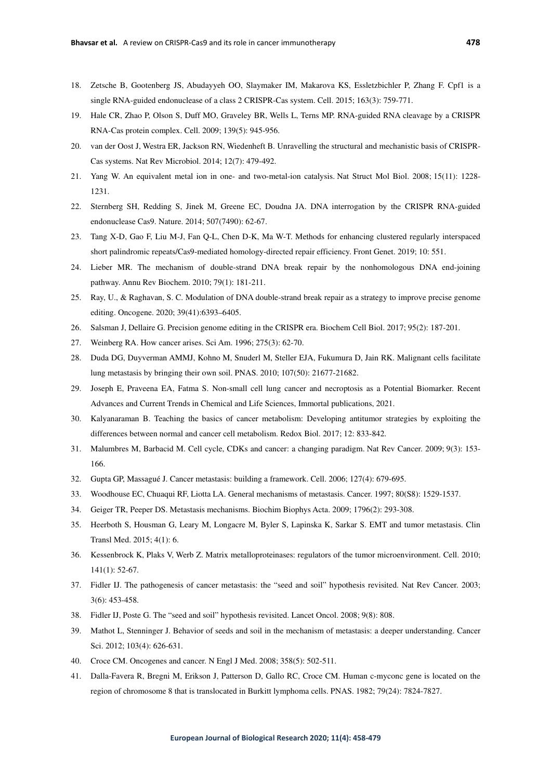- 18. Zetsche B, Gootenberg JS, Abudayyeh OO, Slaymaker IM, Makarova KS, Essletzbichler P, Zhang F. Cpf1 is a single RNA-guided endonuclease of a class 2 CRISPR-Cas system. Cell. 2015; 163(3): 759-771.
- 19. Hale CR, Zhao P, Olson S, Duff MO, Graveley BR, Wells L, Terns MP. RNA-guided RNA cleavage by a CRISPR RNA-Cas protein complex. Cell. 2009; 139(5): 945-956.
- 20. van der Oost J, Westra ER, Jackson RN, Wiedenheft B. Unravelling the structural and mechanistic basis of CRISPR-Cas systems. Nat Rev Microbiol. 2014; 12(7): 479-492.
- 21. Yang W. An equivalent metal ion in one- and two-metal-ion catalysis. Nat Struct Mol Biol. 2008; 15(11): 1228- 1231.
- 22. Sternberg SH, Redding S, Jinek M, Greene EC, Doudna JA. DNA interrogation by the CRISPR RNA-guided endonuclease Cas9. Nature. 2014; 507(7490): 62-67.
- 23. Tang X-D, Gao F, Liu M-J, Fan Q-L, Chen D-K, Ma W-T. Methods for enhancing clustered regularly interspaced short palindromic repeats/Cas9-mediated homology-directed repair efficiency. Front Genet. 2019; 10: 551.
- 24. Lieber MR. The mechanism of double-strand DNA break repair by the nonhomologous DNA end-joining pathway. Annu Rev Biochem. 2010; 79(1): 181-211.
- 25. Ray, U., & Raghavan, S. C. Modulation of DNA double-strand break repair as a strategy to improve precise genome editing. Oncogene. 2020; 39(41):6393–6405.
- 26. Salsman J, Dellaire G. Precision genome editing in the CRISPR era. Biochem Cell Biol. 2017; 95(2): 187-201.
- 27. Weinberg RA. How cancer arises. Sci Am. 1996; 275(3): 62-70.
- 28. Duda DG, Duyverman AMMJ, Kohno M, Snuderl M, Steller EJA, Fukumura D, Jain RK. Malignant cells facilitate lung metastasis by bringing their own soil. PNAS. 2010; 107(50): 21677-21682.
- 29. Joseph E, Praveena EA, Fatma S. Non-small cell lung cancer and necroptosis as a Potential Biomarker. Recent Advances and Current Trends in Chemical and Life Sciences, Immortal publications, 2021.
- 30. Kalyanaraman B. Teaching the basics of cancer metabolism: Developing antitumor strategies by exploiting the differences between normal and cancer cell metabolism. Redox Biol. 2017; 12: 833-842.
- 31. Malumbres M, Barbacid M. Cell cycle, CDKs and cancer: a changing paradigm. Nat Rev Cancer. 2009; 9(3): 153- 166.
- 32. Gupta GP, Massagué J. Cancer metastasis: building a framework. Cell. 2006; 127(4): 679-695.
- 33. Woodhouse EC, Chuaqui RF, Liotta LA. General mechanisms of metastasis. Cancer. 1997; 80(S8): 1529-1537.
- 34. Geiger TR, Peeper DS. Metastasis mechanisms. Biochim Biophys Acta. 2009; 1796(2): 293-308.
- 35. Heerboth S, Housman G, Leary M, Longacre M, Byler S, Lapinska K, Sarkar S. EMT and tumor metastasis. Clin Transl Med. 2015; 4(1): 6.
- 36. Kessenbrock K, Plaks V, Werb Z. Matrix metalloproteinases: regulators of the tumor microenvironment. Cell. 2010; 141(1): 52-67.
- 37. Fidler IJ. The pathogenesis of cancer metastasis: the "seed and soil" hypothesis revisited. Nat Rev Cancer. 2003; 3(6): 453-458.
- 38. Fidler IJ, Poste G. The "seed and soil" hypothesis revisited. Lancet Oncol. 2008; 9(8): 808.
- 39. Mathot L, Stenninger J. Behavior of seeds and soil in the mechanism of metastasis: a deeper understanding. Cancer Sci. 2012; 103(4): 626-631.
- 40. Croce CM. Oncogenes and cancer. N Engl J Med. 2008; 358(5): 502-511.
- 41. Dalla-Favera R, Bregni M, Erikson J, Patterson D, Gallo RC, Croce CM. Human c-myconc gene is located on the region of chromosome 8 that is translocated in Burkitt lymphoma cells. PNAS. 1982; 79(24): 7824-7827.